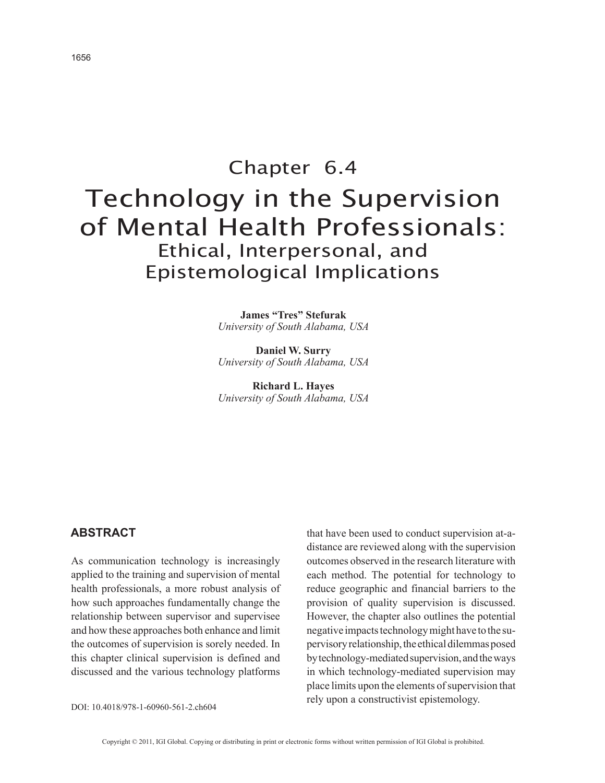# Chapter 6.4 Technology in the Supervision of Mental Health Professionals: Ethical, Interpersonal, and Epistemological Implications

**James "Tres" Stefurak** *University of South Alabama, USA*

**Daniel W. Surry** *University of South Alabama, USA*

**Richard L. Hayes** *University of South Alabama, USA*

## **AbstrAct**

As communication technology is increasingly applied to the training and supervision of mental health professionals, a more robust analysis of how such approaches fundamentally change the relationship between supervisor and supervisee and how these approaches both enhance and limit the outcomes of supervision is sorely needed. In this chapter clinical supervision is defined and discussed and the various technology platforms

that have been used to conduct supervision at-adistance are reviewed along with the supervision outcomes observed in the research literature with each method. The potential for technology to reduce geographic and financial barriers to the provision of quality supervision is discussed. However, the chapter also outlines the potential negative impacts technology might have to the supervisory relationship, the ethical dilemmas posed by technology-mediated supervision, and the ways in which technology-mediated supervision may place limits upon the elements of supervision that rely upon a constructivist epistemology.

DOI: 10.4018/978-1-60960-561-2.ch604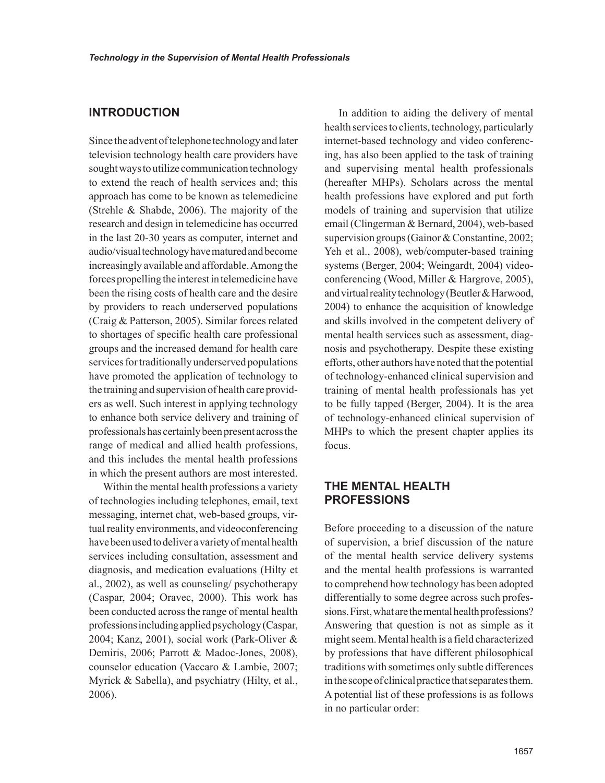## **INtrODUctION**

Since the advent of telephone technology and later television technology health care providers have sought ways to utilize communication technology to extend the reach of health services and; this approach has come to be known as telemedicine (Strehle & Shabde, 2006). The majority of the research and design in telemedicine has occurred in the last 20-30 years as computer, internet and audio/visual technology have matured and become increasingly available and affordable. Among the forces propelling the interest in telemedicine have been the rising costs of health care and the desire by providers to reach underserved populations (Craig & Patterson, 2005). Similar forces related to shortages of specific health care professional groups and the increased demand for health care services for traditionally underserved populations have promoted the application of technology to the training and supervision of health care providers as well. Such interest in applying technology to enhance both service delivery and training of professionals has certainly been present across the range of medical and allied health professions, and this includes the mental health professions in which the present authors are most interested.

Within the mental health professions a variety of technologies including telephones, email, text messaging, internet chat, web-based groups, virtual reality environments, and videoconferencing have been used to deliver a variety of mental health services including consultation, assessment and diagnosis, and medication evaluations (Hilty et al., 2002), as well as counseling/ psychotherapy (Caspar, 2004; Oravec, 2000). This work has been conducted across the range of mental health professions including applied psychology (Caspar, 2004; Kanz, 2001), social work (Park-Oliver & Demiris, 2006; Parrott & Madoc-Jones, 2008), counselor education (Vaccaro & Lambie, 2007; Myrick & Sabella), and psychiatry (Hilty, et al., 2006).

In addition to aiding the delivery of mental health services to clients, technology, particularly internet-based technology and video conferencing, has also been applied to the task of training and supervising mental health professionals (hereafter MHPs). Scholars across the mental health professions have explored and put forth models of training and supervision that utilize email (Clingerman & Bernard, 2004), web-based supervision groups (Gainor & Constantine, 2002; Yeh et al., 2008), web/computer-based training systems (Berger, 2004; Weingardt, 2004) videoconferencing (Wood, Miller & Hargrove, 2005), and virtual reality technology (Beutler & Harwood, 2004) to enhance the acquisition of knowledge and skills involved in the competent delivery of mental health services such as assessment, diagnosis and psychotherapy. Despite these existing efforts, other authors have noted that the potential of technology-enhanced clinical supervision and training of mental health professionals has yet to be fully tapped (Berger, 2004). It is the area of technology-enhanced clinical supervision of MHPs to which the present chapter applies its focus.

## **tHE mENtAL HEALtH PrOFEssIONs**

Before proceeding to a discussion of the nature of supervision, a brief discussion of the nature of the mental health service delivery systems and the mental health professions is warranted to comprehend how technology has been adopted differentially to some degree across such professions. First, what are the mental health professions? Answering that question is not as simple as it might seem. Mental health is a field characterized by professions that have different philosophical traditions with sometimes only subtle differences in the scope of clinical practice that separates them. A potential list of these professions is as follows in no particular order: